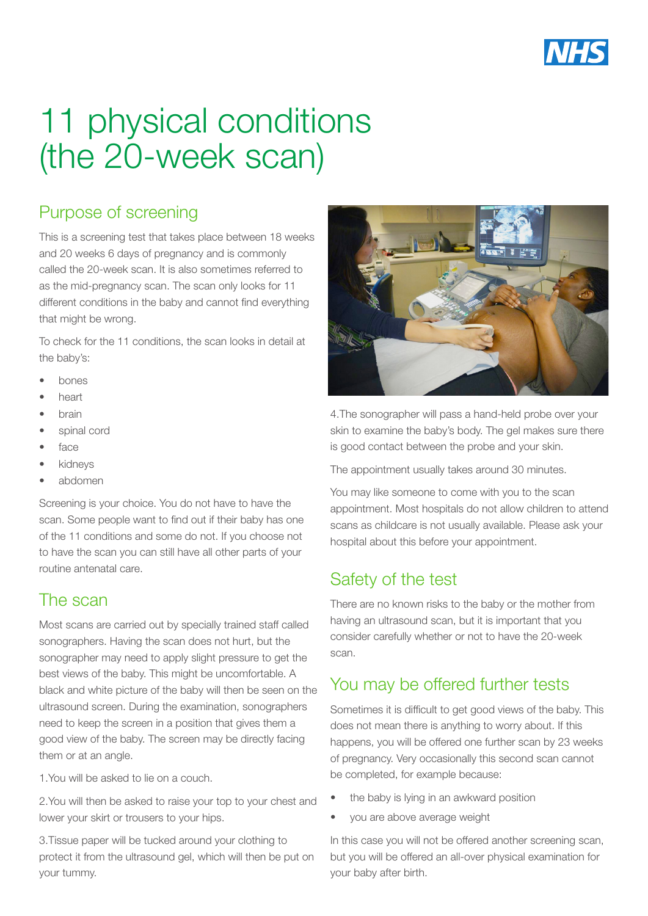

# 11 physical conditions (the 20-week scan)

# Purpose of screening

This is a screening test that takes place between 18 weeks and 20 weeks 6 days of pregnancy and is commonly called the 20-week scan. It is also sometimes referred to as the mid-pregnancy scan. The scan only looks for 11 different conditions in the baby and cannot find everything that might be wrong.

To check for the 11 conditions, the scan looks in detail at the baby's:

- bones
- heart
- brain
- spinal cord
- face
- **kidneys**
- abdomen

Screening is your choice. You do not have to have the scan. Some people want to find out if their baby has one of the 11 conditions and some do not. If you choose not to have the scan you can still have all other parts of your routine antenatal care.

#### The scan

Most scans are carried out by specially trained staff called sonographers. Having the scan does not hurt, but the sonographer may need to apply slight pressure to get the best views of the baby. This might be uncomfortable. A black and white picture of the baby will then be seen on the ultrasound screen. During the examination, sonographers need to keep the screen in a position that gives them a good view of the baby. The screen may be directly facing them or at an angle.

1.You will be asked to lie on a couch.

2.You will then be asked to raise your top to your chest and lower your skirt or trousers to your hips.

3.Tissue paper will be tucked around your clothing to protect it from the ultrasound gel, which will then be put on your tummy.



4.The sonographer will pass a hand-held probe over your skin to examine the baby's body. The gel makes sure there is good contact between the probe and your skin.

The appointment usually takes around 30 minutes.

You may like someone to come with you to the scan appointment. Most hospitals do not allow children to attend scans as childcare is not usually available. Please ask your hospital about this before your appointment.

### Safety of the test

There are no known risks to the baby or the mother from having an ultrasound scan, but it is important that you consider carefully whether or not to have the 20-week scan.

#### You may be offered further tests

Sometimes it is difficult to get good views of the baby. This does not mean there is anything to worry about. If this happens, you will be offered one further scan by 23 weeks of pregnancy. Very occasionally this second scan cannot be completed, for example because:

- the baby is lying in an awkward position
- you are above average weight

In this case you will not be offered another screening scan, but you will be offered an all-over physical examination for your baby after birth.